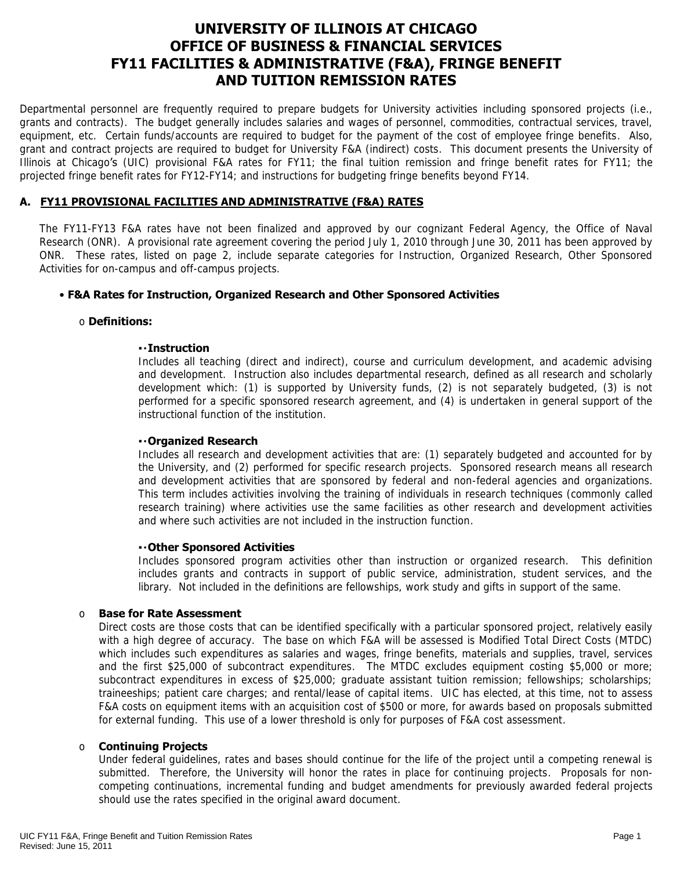# **UNIVERSITY OF ILLINOIS AT CHICAGO OFFICE OF BUSINESS & FINANCIAL SERVICES FY11 FACILITIES & ADMINISTRATIVE (F&A), FRINGE BENEFIT AND TUITION REMISSION RATES**

Departmental personnel are frequently required to prepare budgets for University activities including sponsored projects (i.e., grants and contracts). The budget generally includes salaries and wages of personnel, commodities, contractual services, travel, equipment, etc. Certain funds/accounts are required to budget for the payment of the cost of employee fringe benefits. Also, grant and contract projects are required to budget for University F&A (indirect) costs. This document presents the University of Illinois at Chicago's (UIC) provisional F&A rates for FY11; the final tuition remission and fringe benefit rates for FY11; the projected fringe benefit rates for FY12-FY14; and instructions for budgeting fringe benefits beyond FY14.

## **A. FY11 PROVISIONAL FACILITIES AND ADMINISTRATIVE (F&A) RATES**

The FY11-FY13 F&A rates have not been finalized and approved by our cognizant Federal Agency, the Office of Naval Research (ONR). A provisional rate agreement covering the period July 1, 2010 through June 30, 2011 has been approved by ONR. These rates, listed on page 2, include separate categories for Instruction, Organized Research, Other Sponsored Activities for on-campus and off-campus projects.

## • **F&A Rates for Instruction, Organized Research and Other Sponsored Activities**

#### o **Definitions:**

#### ▪ **Instruction**

Includes all teaching (direct and indirect), course and curriculum development, and academic advising and development. Instruction also includes departmental research, defined as all research and scholarly development which: (1) is supported by University funds, (2) is not separately budgeted, (3) is not performed for a specific sponsored research agreement, and (4) is undertaken in general support of the instructional function of the institution.

#### ▪ **Organized Research**

Includes all research and development activities that are: (1) separately budgeted and accounted for by the University, and (2) performed for specific research projects. Sponsored research means all research and development activities that are sponsored by federal and non-federal agencies and organizations. This term includes activities involving the training of individuals in research techniques (commonly called research training) where activities use the same facilities as other research and development activities and where such activities are not included in the instruction function.

## ▪ **Other Sponsored Activities**

Includes sponsored program activities other than instruction or organized research. This definition includes grants and contracts in support of public service, administration, student services, and the library. Not included in the definitions are fellowships, work study and gifts in support of the same.

#### o **Base for Rate Assessment**

Direct costs are those costs that can be identified specifically with a particular sponsored project, relatively easily with a high degree of accuracy. The base on which F&A will be assessed is Modified Total Direct Costs (MTDC) which includes such expenditures as salaries and wages, fringe benefits, materials and supplies, travel, services and the first \$25,000 of subcontract expenditures. The MTDC excludes equipment costing \$5,000 or more; subcontract expenditures in excess of \$25,000; graduate assistant tuition remission; fellowships; scholarships; traineeships; patient care charges; and rental/lease of capital items. UIC has elected, at this time, not to assess F&A costs on equipment items with an acquisition cost of \$500 or more, for awards based on proposals submitted for external funding. This use of a lower threshold is only for purposes of F&A cost assessment.

#### o **Continuing Projects**

Under federal guidelines, rates and bases should continue for the life of the project until a competing renewal is submitted. Therefore, the University will honor the rates in place for continuing projects. Proposals for noncompeting continuations, incremental funding and budget amendments for previously awarded federal projects should use the rates specified in the original award document.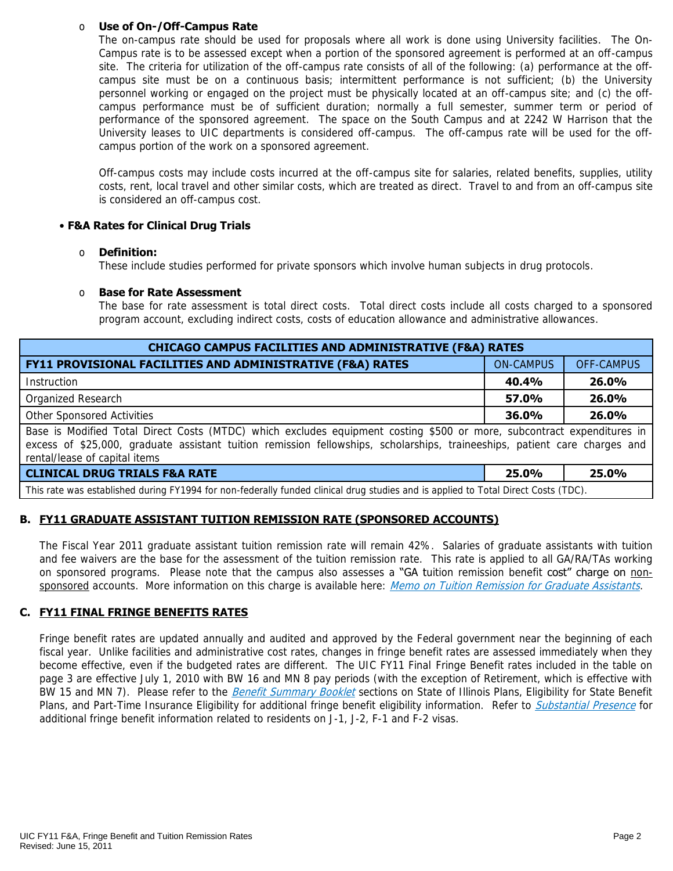#### o **Use of On-/Off-Campus Rate**

The on-campus rate should be used for proposals where all work is done using University facilities. The On-Campus rate is to be assessed except when a portion of the sponsored agreement is performed at an off-campus site. The criteria for utilization of the off-campus rate consists of all of the following: (a) performance at the offcampus site must be on a continuous basis; intermittent performance is not sufficient; (b) the University personnel working or engaged on the project must be physically located at an off-campus site; and (c) the offcampus performance must be of sufficient duration; normally a full semester, summer term or period of performance of the sponsored agreement. The space on the South Campus and at 2242 W Harrison that the University leases to UIC departments is considered off-campus. The off-campus rate will be used for the offcampus portion of the work on a sponsored agreement.

Off-campus costs may include costs incurred at the off-campus site for salaries, related benefits, supplies, utility costs, rent, local travel and other similar costs, which are treated as direct. Travel to and from an off-campus site is considered an off-campus cost.

## • **F&A Rates for Clinical Drug Trials**

#### o **Definition:**

These include studies performed for private sponsors which involve human subjects in drug protocols.

#### o **Base for Rate Assessment**

The base for rate assessment is total direct costs. Total direct costs include all costs charged to a sponsored program account, excluding indirect costs, costs of education allowance and administrative allowances.

| <b>CHICAGO CAMPUS FACILITIES AND ADMINISTRATIVE (F&amp;A) RATES</b>                                                                                                                                                                                                                   |                  |            |  |  |  |  |
|---------------------------------------------------------------------------------------------------------------------------------------------------------------------------------------------------------------------------------------------------------------------------------------|------------------|------------|--|--|--|--|
| FY11 PROVISIONAL FACILITIES AND ADMINISTRATIVE (F&A) RATES                                                                                                                                                                                                                            | <b>ON-CAMPUS</b> | OFF-CAMPUS |  |  |  |  |
| Instruction                                                                                                                                                                                                                                                                           | 40.4%            | 26.0%      |  |  |  |  |
| Organized Research                                                                                                                                                                                                                                                                    | 57.0%            | 26.0%      |  |  |  |  |
| Other Sponsored Activities                                                                                                                                                                                                                                                            | 36.0%            | 26.0%      |  |  |  |  |
| Base is Modified Total Direct Costs (MTDC) which excludes equipment costing \$500 or more, subcontract expenditures in<br>excess of \$25,000, graduate assistant tuition remission fellowships, scholarships, traineeships, patient care charges and<br>rental/lease of capital items |                  |            |  |  |  |  |
| <b>CLINICAL DRUG TRIALS F&amp;A RATE</b>                                                                                                                                                                                                                                              | 25.0%            | 25.0%      |  |  |  |  |
| This rate was established during FY1994 for non-federally funded clinical drug studies and is applied to Total Direct Costs (TDC).                                                                                                                                                    |                  |            |  |  |  |  |

## **B. FY11 GRADUATE ASSISTANT TUITION REMISSION RATE (SPONSORED ACCOUNTS)**

The Fiscal Year 2011 graduate assistant tuition remission rate will remain 42%.Salaries of graduate assistants with tuition and fee waivers are the base for the assessment of the tuition remission rate. This rate is applied to all GA/RA/TAs working on sponsored programs. Please note that the campus also assesses a "GA tuition remission benefit cost" charge on non-sponsored accounts. More information on this charge is available here: [Memo on Tuition Remission for Graduate Assistants](https://www.obfs.uillinois.edu/common/pages/DisplayFile.aspx?itemId=436386).

## **C. FY11 FINAL FRINGE BENEFITS RATES**

Fringe benefit rates are updated annually and audited and approved by the Federal government near the beginning of each fiscal year. Unlike facilities and administrative cost rates, changes in fringe benefit rates are assessed immediately when they become effective, even if the budgeted rates are different. The UIC FY11 Final Fringe Benefit rates included in the table on page 3 are effective July 1, 2010 with BW 16 and MN 8 pay periods (with the exception of Retirement, which is effective with BW 15 and MN 7). Please refer to the [Benefit Summary Booklet](https://nessie.uihr.uillinois.edu/pdf/benefits/benefitsummarybooklet.pdf) sections on State of Illinois Plans, Eligibility for State Benefit Plans, and Part-Time Insurance Eligibility for additional fringe benefit eligibility information. Refer to [Substantial Presence](http://www.uic.edu/com/gme/rpm_comp___benefits.htm#real_substantial_pres) for additional fringe benefit information related to residents on J-1, J-2, F-1 and F-2 visas.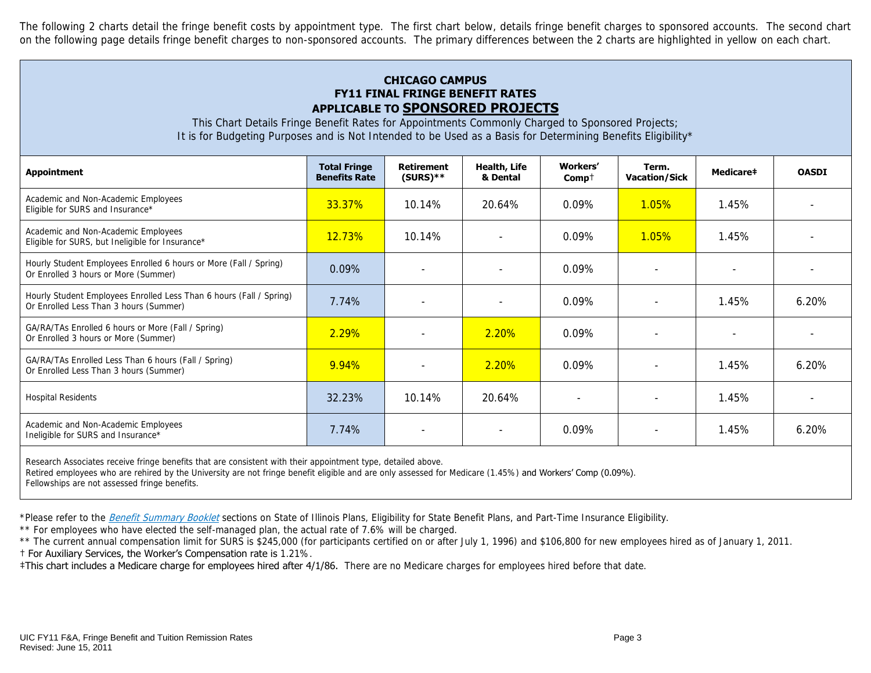The following 2 charts detail the fringe benefit costs by appointment type. The first chart below, details fringe benefit charges to sponsored accounts. The second chart on the following page details fringe benefit charges to non-sponsored accounts. The primary differences between the 2 charts are highlighted in yellow on each chart.

## **CHICAGO CAMPUS FY11 FINAL FRINGE BENEFIT RATES APPLICABLE TO SPONSORED PROJECTS**

This Chart Details Fringe Benefit Rates for Appointments Commonly Charged to Sponsored Projects; It is for Budgeting Purposes and is Not Intended to be Used as a Basis for Determining Benefits Eligibility\*

| <b>Appointment</b>                                                                                            | <b>Total Fringe</b><br><b>Benefits Rate</b> | <b>Retirement</b><br>$(SURS)**$ | Health, Life<br>& Dental | Workers'<br>$Comp+$      | Term.<br><b>Vacation/Sick</b> | Medicare‡ | <b>OASDI</b> |
|---------------------------------------------------------------------------------------------------------------|---------------------------------------------|---------------------------------|--------------------------|--------------------------|-------------------------------|-----------|--------------|
| Academic and Non-Academic Employees<br>Eligible for SURS and Insurance*                                       | 33.37%                                      | 10.14%                          | 20.64%                   | $0.09\%$                 | 1.05%                         | 1.45%     |              |
| Academic and Non-Academic Employees<br>Eligible for SURS, but Ineligible for Insurance*                       | <b>12.73%</b>                               | 10.14%                          | $\overline{\phantom{a}}$ | 0.09%                    | 1.05%                         | 1.45%     |              |
| Hourly Student Employees Enrolled 6 hours or More (Fall / Spring)<br>Or Enrolled 3 hours or More (Summer)     | $0.09\%$                                    |                                 | $\overline{\phantom{a}}$ | 0.09%                    | $\sim$                        |           |              |
| Hourly Student Employees Enrolled Less Than 6 hours (Fall / Spring)<br>Or Enrolled Less Than 3 hours (Summer) | 7.74%                                       |                                 |                          | 0.09%                    |                               | 1.45%     | 6.20%        |
| GA/RA/TAs Enrolled 6 hours or More (Fall / Spring)<br>Or Enrolled 3 hours or More (Summer)                    | 2.29%                                       |                                 | 2.20%                    | $0.09\%$                 | $\overline{\phantom{a}}$      |           |              |
| GA/RA/TAs Enrolled Less Than 6 hours (Fall / Spring)<br>Or Enrolled Less Than 3 hours (Summer)                | 9.94%                                       | ÷                               | $2.20\%$                 | $0.09\%$                 | $\sim$                        | 1.45%     | 6.20%        |
| <b>Hospital Residents</b>                                                                                     | 32.23%                                      | 10.14%                          | 20.64%                   | $\overline{\phantom{a}}$ |                               | 1.45%     |              |
| Academic and Non-Academic Employees<br>Ineligible for SURS and Insurance*                                     | 7.74%                                       |                                 |                          | 0.09%                    |                               | 1.45%     | 6.20%        |

Research Associates receive fringe benefits that are consistent with their appointment type, detailed above.

Retired employees who are rehired by the University are not fringe benefit eligible and are only assessed for Medicare (1.45%) and Workers' Comp (0.09%).

Fellowships are not assessed fringe benefits.

\*Please refer to the [Benefit Summary Booklet](https://nessie.uihr.uillinois.edu/pdf/benefits/benefitsummarybooklet.pdf) sections on State of Illinois Plans, Eligibility for State Benefit Plans, and Part-Time Insurance Eligibility.

\*\* For employees who have elected the self-managed plan, the actual rate of 7.6% will be charged.

\*\* The current annual compensation limit for SURS is \$245,000 (for participants certified on or after July 1, 1996) and \$106,800 for new employees hired as of January 1, 2011.

† For Auxiliary Services, the Worker's Compensation rate is 1.21%.

**#This chart includes a Medicare charge for employees hired after 4/1/86.** There are no Medicare charges for employees hired before that date.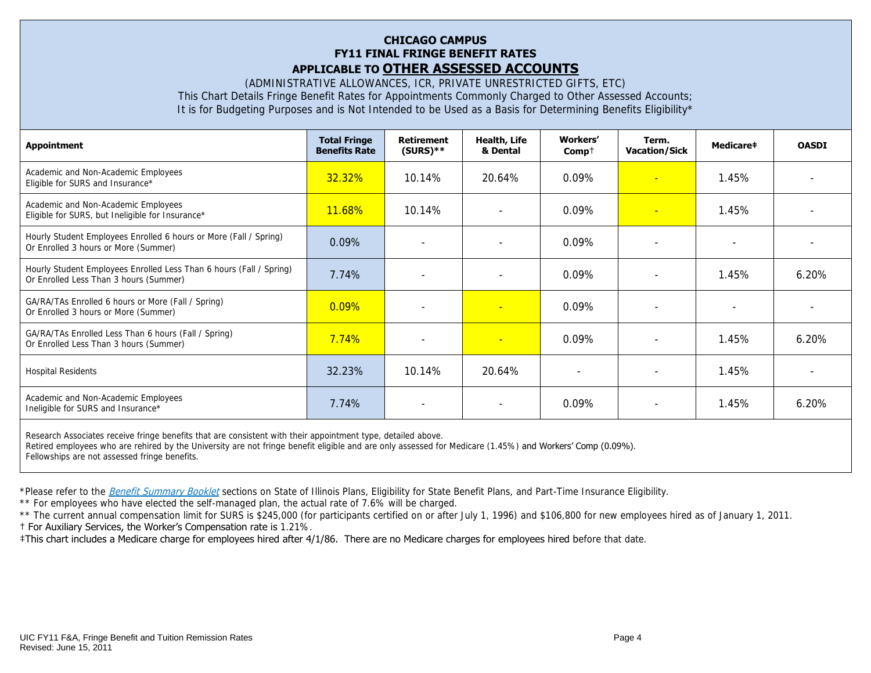#### **CHICAGO CAMPUS FY11 FINAL FRINGE BENEFIT RATES APPLICABLE TO OTHER ASSESSED ACCOUNTS**

(ADMINISTRATIVE ALLOWANCES, ICR, PRIVATE UNRESTRICTED GIFTS, ETC) This Chart Details Fringe Benefit Rates for Appointments Commonly Charged to Other Assessed Accounts; It is for Budgeting Purposes and is Not Intended to be Used as a Basis for Determining Benefits Eligibility\*

| <b>Appointment</b>                                                                                            | <b>Total Fringe</b><br><b>Benefits Rate</b> | <b>Retirement</b><br>$(SURS)$ ** | <b>Health, Life</b><br>& Dental | Workers'<br>$Comp+$ | Term.<br><b>Vacation/Sick</b> | Medicare‡ | <b>OASDI</b> |
|---------------------------------------------------------------------------------------------------------------|---------------------------------------------|----------------------------------|---------------------------------|---------------------|-------------------------------|-----------|--------------|
| Academic and Non-Academic Employees<br>Eligible for SURS and Insurance*                                       | 32.32%                                      | 10.14%                           | $20.64\%$                       | $0.09\%$            | $\equiv$                      | 1.45%     |              |
| Academic and Non-Academic Employees<br>Eligible for SURS, but Ineligible for Insurance*                       | 11.68%                                      | 10.14%                           |                                 | 0.09%               | ÷                             | 1.45%     |              |
| Hourly Student Employees Enrolled 6 hours or More (Fall / Spring)<br>Or Enrolled 3 hours or More (Summer)     | 0.09%                                       |                                  |                                 | $0.09\%$            | $\overline{\phantom{a}}$      |           |              |
| Hourly Student Employees Enrolled Less Than 6 hours (Fall / Spring)<br>Or Enrolled Less Than 3 hours (Summer) | 7.74%                                       |                                  |                                 | 0.09%               |                               | 1.45%     | 6.20%        |
| GA/RA/TAs Enrolled 6 hours or More (Fall / Spring)<br>Or Enrolled 3 hours or More (Summer)                    | $0.09\%$                                    |                                  |                                 | 0.09%               |                               |           |              |
| GA/RA/TAs Enrolled Less Than 6 hours (Fall / Spring)<br>Or Enrolled Less Than 3 hours (Summer)                | 7.74%                                       |                                  | $\overline{\phantom{a}}$        | $0.09\%$            |                               | 1.45%     | 6.20%        |
| <b>Hospital Residents</b>                                                                                     | 32.23%                                      | $10.14\%$                        | 20.64%                          |                     |                               | 1.45%     |              |
| Academic and Non-Academic Employees<br>Ineligible for SURS and Insurance*                                     | 7.74%                                       |                                  | $\overline{\phantom{a}}$        | 0.09%               | $\overline{\phantom{a}}$      | 1.45%     | 6.20%        |
|                                                                                                               |                                             |                                  |                                 |                     |                               |           |              |

Research Associates receive fringe benefits that are consistent with their appointment type, detailed above. Retired employees who are rehired by the University are not fringe benefit eligible and are only assessed for Medicare (1.45%) and Workers' Comp (0.09%). Fellowships are not assessed fringe benefits.

\*Please refer to the [Benefit Summary Booklet](https://nessie.uihr.uillinois.edu/pdf/benefits/benefitsummarybooklet.pdf) sections on State of Illinois Plans, Eligibility for State Benefit Plans, and Part-Time Insurance Eligibility.

\*\* For employees who have elected the self-managed plan, the actual rate of 7.6% will be charged.

\*\* The current annual compensation limit for SURS is \$245,000 (for participants certified on or after July 1, 1996) and \$106,800 for new employees hired as of January 1, 2011.

† For Auxiliary Services, the Worker's Compensation rate is 1.21%.

‡This chart includes a Medicare charge for employees hired after 4/1/86. There are no Medicare charges for employees hired before that date.